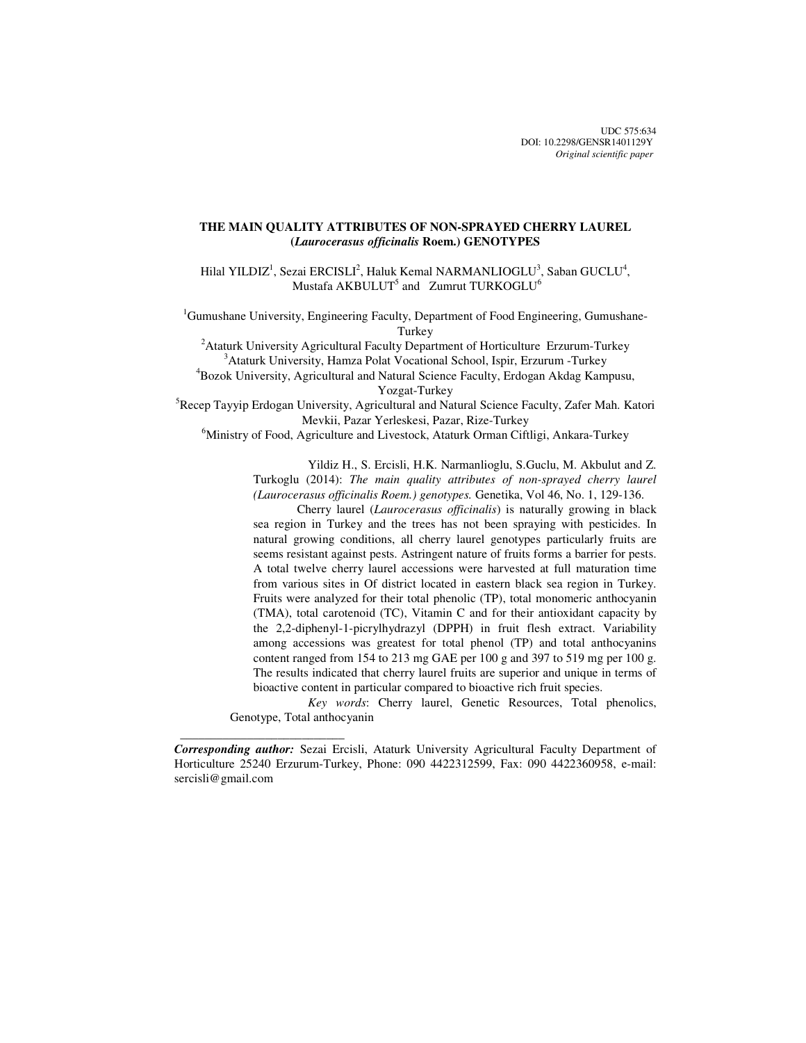UDC 575:634 DOI: 10.2298/GENSR1401129Y *Original scientific paper*

# **THE MAIN QUALITY ATTRIBUTES OF NON-SPRAYED CHERRY LAUREL (***Laurocerasus officinalis* **Roem.) GENOTYPES**

Hilal YILDIZ<sup>1</sup>, Sezai ERCISLI<sup>2</sup>, Haluk Kemal NARMANLIOGLU<sup>3</sup>, Saban GUCLU<sup>4</sup>, Mustafa AKBULUT<sup>5</sup> and Zumrut TURKOGLU<sup>6</sup>

<sup>1</sup>Gumushane University, Engineering Faculty, Department of Food Engineering, Gumushane-**Turkey** 

<sup>2</sup>Ataturk University Agricultural Faculty Department of Horticulture Erzurum-Turkey <sup>3</sup>Ataturk University, Hamza Polat Vocational School, Ispir, Erzurum -Turkey

<sup>4</sup>Bozok University, Agricultural and Natural Science Faculty, Erdogan Akdag Kampusu, Yozgat-Turkey

<sup>5</sup>Recep Tayyip Erdogan University, Agricultural and Natural Science Faculty, Zafer Mah. Katori Mevkii, Pazar Yerleskesi, Pazar, Rize-Turkey

<sup>6</sup>Ministry of Food, Agriculture and Livestock, Ataturk Orman Ciftligi, Ankara-Turkey

 Yildiz H., S. Ercisli, H.K. Narmanlioglu, S.Guclu, M. Akbulut and Z. Turkoglu (2014): *The main quality attributes of non-sprayed cherry laurel (Laurocerasus officinalis Roem.) genotypes.* Genetika, Vol 46, No. 1, 129-136.

Cherry laurel (*Laurocerasus officinalis*) is naturally growing in black sea region in Turkey and the trees has not been spraying with pesticides. In natural growing conditions, all cherry laurel genotypes particularly fruits are seems resistant against pests. Astringent nature of fruits forms a barrier for pests. A total twelve cherry laurel accessions were harvested at full maturation time from various sites in Of district located in eastern black sea region in Turkey. Fruits were analyzed for their total phenolic (TP), total monomeric anthocyanin (TMA), total carotenoid (TC), Vitamin C and for their antioxidant capacity by the 2,2-diphenyl-1-picrylhydrazyl (DPPH) in fruit flesh extract. Variability among accessions was greatest for total phenol (TP) and total anthocyanins content ranged from 154 to 213 mg GAE per 100 g and 397 to 519 mg per 100 g. The results indicated that cherry laurel fruits are superior and unique in terms of bioactive content in particular compared to bioactive rich fruit species.

*Key words*: Cherry laurel, Genetic Resources, Total phenolics, Genotype, Total anthocyanin

 $\frac{1}{2}$  , and the set of the set of the set of the set of the set of the set of the set of the set of the set of the set of the set of the set of the set of the set of the set of the set of the set of the set of the set

*Corresponding author:* Sezai Ercisli, Ataturk University Agricultural Faculty Department of Horticulture 25240 Erzurum-Turkey, Phone: 090 4422312599, Fax: 090 4422360958, e-mail: sercisli@gmail.com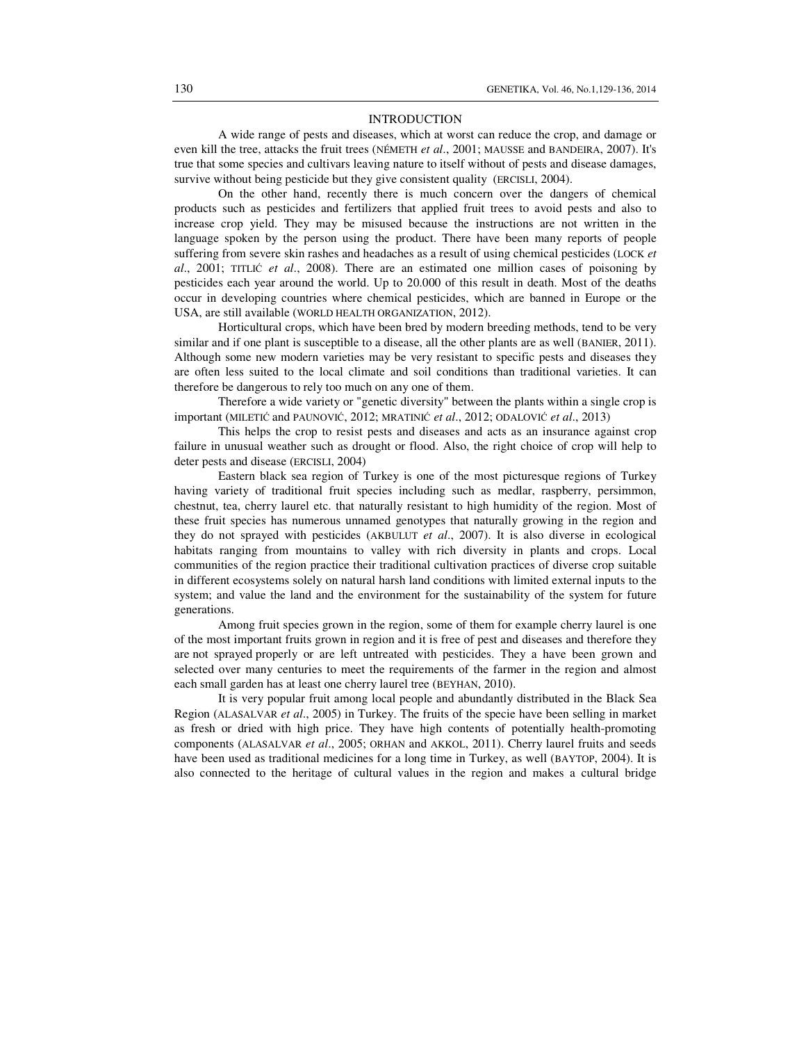### INTRODUCTION

A wide range of pests and diseases, which at worst can reduce the crop, and damage or even kill the tree, attacks the fruit trees (NÉMETH *et al*., 2001; MAUSSE and BANDEIRA, 2007). It's true that some species and cultivars leaving nature to itself without of pests and disease damages, survive without being pesticide but they give consistent quality (ERCISLI, 2004).

On the other hand, recently there is much concern over the dangers of chemical products such as pesticides and fertilizers that applied fruit trees to avoid pests and also to increase crop yield. They may be misused because the instructions are not written in the language spoken by the person using the product. There have been many reports of people suffering from severe skin rashes and headaches as a result of using chemical pesticides (LOCK *et al*., 2001; TITLIĆ *et al*., 2008). There are an estimated one million cases of poisoning by pesticides each year around the world. Up to 20.000 of this result in death. Most of the deaths occur in developing countries where chemical pesticides, which are banned in Europe or the USA, are still available (WORLD HEALTH ORGANIZATION, 2012).

Horticultural crops, which have been bred by modern breeding methods, tend to be very similar and if one plant is susceptible to a disease, all the other plants are as well (BANIER, 2011). Although some new modern varieties may be very resistant to specific pests and diseases they are often less suited to the local climate and soil conditions than traditional varieties. It can therefore be dangerous to rely too much on any one of them.

Therefore a wide variety or "genetic diversity" between the plants within a single crop is important (MILETIĆ and PAUNOVIĆ, 2012; MRATINIĆ *et al*., 2012; ODALOVIĆ *et al*., 2013)

This helps the crop to resist pests and diseases and acts as an insurance against crop failure in unusual weather such as drought or flood. Also, the right choice of crop will help to deter pests and disease (ERCISLI, 2004)

Eastern black sea region of Turkey is one of the most picturesque regions of Turkey having variety of traditional fruit species including such as medlar, raspberry, persimmon, chestnut, tea, cherry laurel etc. that naturally resistant to high humidity of the region. Most of these fruit species has numerous unnamed genotypes that naturally growing in the region and they do not sprayed with pesticides (AKBULUT *et al*., 2007). It is also diverse in ecological habitats ranging from mountains to valley with rich diversity in plants and crops. Local communities of the region practice their traditional cultivation practices of diverse crop suitable in different ecosystems solely on natural harsh land conditions with limited external inputs to the system; and value the land and the environment for the sustainability of the system for future generations.

Among fruit species grown in the region, some of them for example cherry laurel is one of the most important fruits grown in region and it is free of pest and diseases and therefore they are not sprayed properly or are left untreated with pesticides. They a have been grown and selected over many centuries to meet the requirements of the farmer in the region and almost each small garden has at least one cherry laurel tree (BEYHAN, 2010).

It is very popular fruit among local people and abundantly distributed in the Black Sea Region (ALASALVAR *et al*., 2005) in Turkey. The fruits of the specie have been selling in market as fresh or dried with high price. They have high contents of potentially health-promoting components (ALASALVAR *et al*., 2005; ORHAN and AKKOL, 2011). Cherry laurel fruits and seeds have been used as traditional medicines for a long time in Turkey, as well (BAYTOP, 2004). It is also connected to the heritage of cultural values in the region and makes a cultural bridge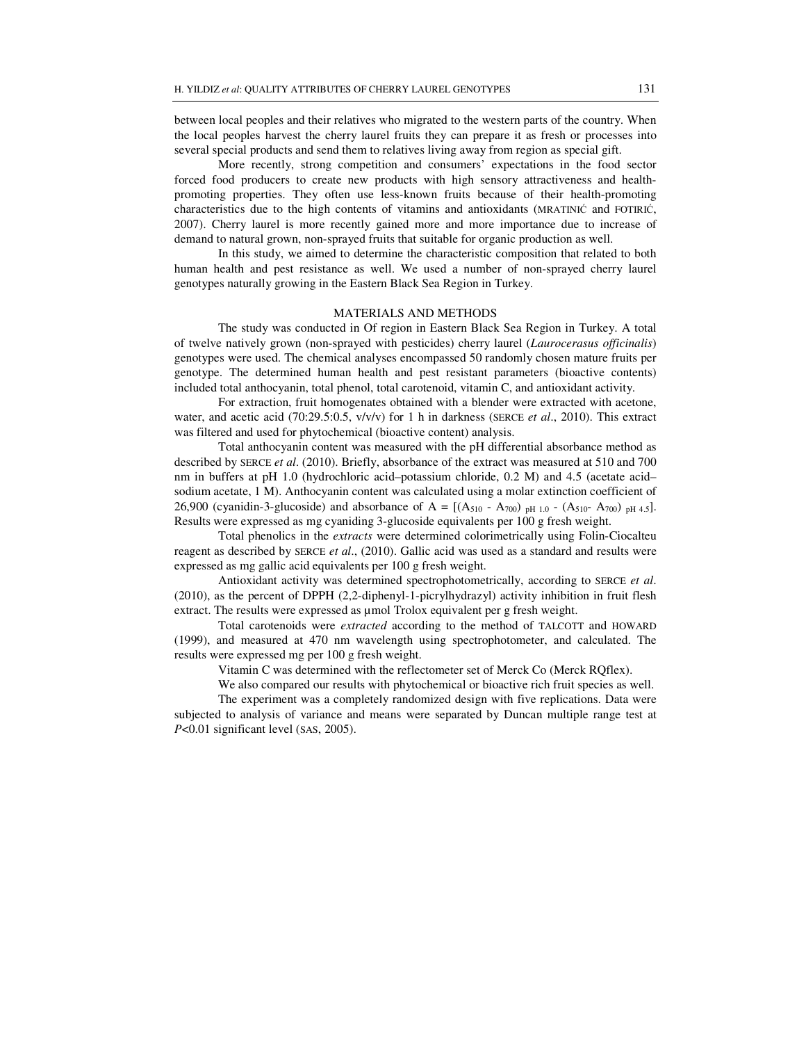between local peoples and their relatives who migrated to the western parts of the country. When the local peoples harvest the cherry laurel fruits they can prepare it as fresh or processes into several special products and send them to relatives living away from region as special gift.

More recently, strong competition and consumers' expectations in the food sector forced food producers to create new products with high sensory attractiveness and healthpromoting properties. They often use less-known fruits because of their health-promoting characteristics due to the high contents of vitamins and antioxidants (MRATINIĆ and FOTIRIĆ, 2007). Cherry laurel is more recently gained more and more importance due to increase of demand to natural grown, non-sprayed fruits that suitable for organic production as well.

In this study, we aimed to determine the characteristic composition that related to both human health and pest resistance as well. We used a number of non-sprayed cherry laurel genotypes naturally growing in the Eastern Black Sea Region in Turkey.

## MATERIALS AND METHODS

The study was conducted in Of region in Eastern Black Sea Region in Turkey. A total of twelve natively grown (non-sprayed with pesticides) cherry laurel (*Laurocerasus officinalis*) genotypes were used. The chemical analyses encompassed 50 randomly chosen mature fruits per genotype. The determined human health and pest resistant parameters (bioactive contents) included total anthocyanin, total phenol, total carotenoid, vitamin C, and antioxidant activity.

For extraction, fruit homogenates obtained with a blender were extracted with acetone, water, and acetic acid (70:29.5:0.5, v/v/v) for 1 h in darkness (SERCE *et al*., 2010). This extract was filtered and used for phytochemical (bioactive content) analysis.

Total anthocyanin content was measured with the pH differential absorbance method as described by SERCE *et al*. (2010). Briefly, absorbance of the extract was measured at 510 and 700 nm in buffers at pH 1.0 (hydrochloric acid–potassium chloride, 0.2 M) and 4.5 (acetate acid– sodium acetate, 1 M). Anthocyanin content was calculated using a molar extinction coefficient of 26,900 (cyanidin-3-glucoside) and absorbance of  $A = [(A_{510} - A_{700})_{pH1.0} - (A_{510} - A_{700})_{pH4.5}]$ . Results were expressed as mg cyaniding 3-glucoside equivalents per 100 g fresh weight.

Total phenolics in the *extracts* were determined colorimetrically using Folin-Ciocalteu reagent as described by SERCE *et al*., (2010). Gallic acid was used as a standard and results were expressed as mg gallic acid equivalents per 100 g fresh weight.

Antioxidant activity was determined spectrophotometrically, according to SERCE *et al*. (2010), as the percent of DPPH (2,2-diphenyl-1-picrylhydrazyl) activity inhibition in fruit flesh extract. The results were expressed as µmol Trolox equivalent per g fresh weight.

Total carotenoids were *extracted* according to the method of TALCOTT and HOWARD (1999), and measured at 470 nm wavelength using spectrophotometer, and calculated. The results were expressed mg per 100 g fresh weight.

Vitamin C was determined with the reflectometer set of Merck Co (Merck RQflex).

We also compared our results with phytochemical or bioactive rich fruit species as well.

The experiment was a completely randomized design with five replications. Data were subjected to analysis of variance and means were separated by Duncan multiple range test at *P*<0.01 significant level (SAS, 2005).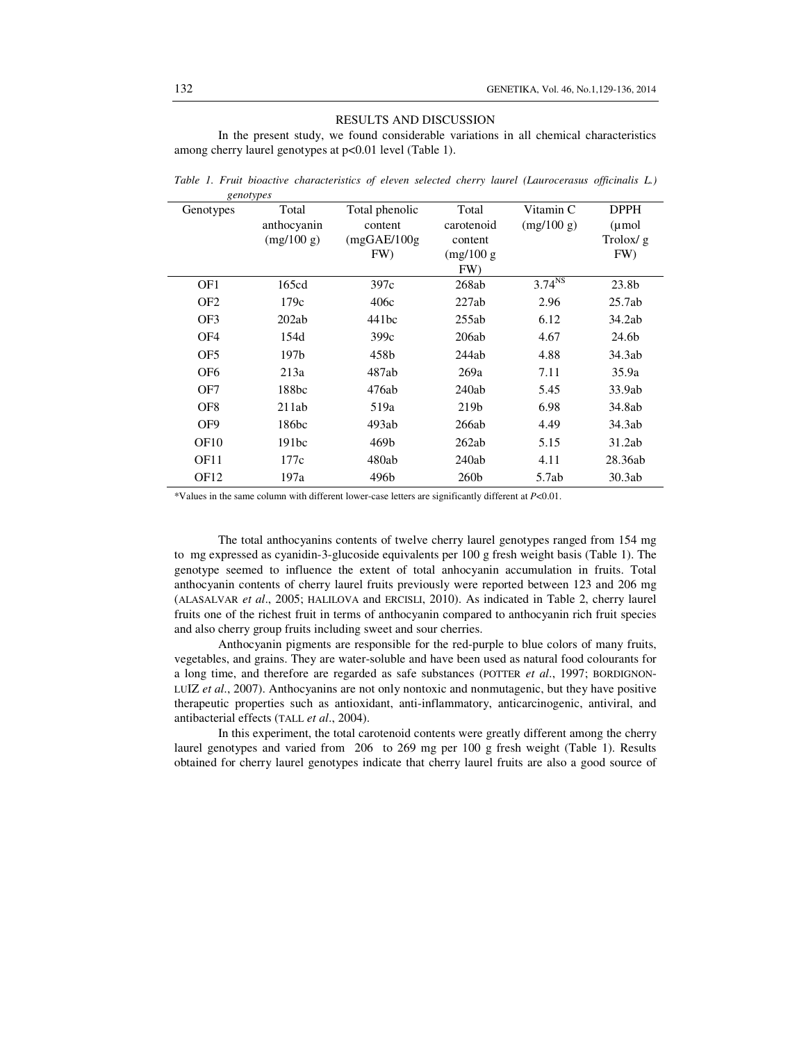#### RESULTS AND DISCUSSION

In the present study, we found considerable variations in all chemical characteristics among cherry laurel genotypes at p<0.01 level (Table 1).

| Genotypes        | $\sigma$<br>Total | Total phenolic | Total      | Vitamin C          | <b>DPPH</b>       |
|------------------|-------------------|----------------|------------|--------------------|-------------------|
|                  | anthocyanin       | content        | carotenoid | (mg/100 g)         | $\mu$ mol         |
|                  | (mg/100 g)        | (mgGAE/100g)   | content    |                    | Trolox/g          |
|                  |                   | FW)            | (mg/100 g) |                    | FW)               |
|                  |                   |                | FW)        |                    |                   |
| OF1              | 165cd             | 397c           | 268ab      | 3.74 <sup>NS</sup> | 23.8 <sub>b</sub> |
| OF <sub>2</sub>  | 179c              | 406c           | 227ab      | 2.96               | 25.7ab            |
| OF3              | 202ab             | 441bc          | 255ab      | 6.12               | 34.2ab            |
| OF <sub>4</sub>  | 154d              | 399c           | 206ab      | 4.67               | 24.6b             |
| OF <sub>5</sub>  | 197 <sub>b</sub>  | 458b           | 244ab      | 4.88               | 34.3ab            |
| OF <sub>6</sub>  | 213a              | 487ab          | 269a       | 7.11               | 35.9a             |
| OF7              | 188bc             | 476ab          | 240ab      | 5.45               | 33.9ab            |
| OF <sub>8</sub>  | 211ab             | 519a           | 219b       | 6.98               | 34.8ab            |
| OF <sub>9</sub>  | 186bc             | 493ab          | 266ab      | 4.49               | 34.3ab            |
| OF <sub>10</sub> | 191bc             | 469b           | 262ab      | 5.15               | 31.2ab            |
| OF <sub>11</sub> | 177c              | 480ab          | 240ab      | 4.11               | 28.36ab           |
| OF <sub>12</sub> | 197a              | 496b           | 260b       | 5.7ab              | 30.3ab            |

*Table 1. Fruit bioactive characteristics of eleven selected cherry laurel (Laurocerasus officinalis L.) genotypes* 

\*Values in the same column with different lower-case letters are significantly different at *P*<0.01.

The total anthocyanins contents of twelve cherry laurel genotypes ranged from 154 mg to mg expressed as cyanidin-3-glucoside equivalents per 100 g fresh weight basis (Table 1). The genotype seemed to influence the extent of total anhocyanin accumulation in fruits. Total anthocyanin contents of cherry laurel fruits previously were reported between 123 and 206 mg (ALASALVAR *et al*., 2005; HALILOVA and ERCISLI, 2010). As indicated in Table 2, cherry laurel fruits one of the richest fruit in terms of anthocyanin compared to anthocyanin rich fruit species and also cherry group fruits including sweet and sour cherries.

Anthocyanin pigments are responsible for the red-purple to blue colors of many fruits, vegetables, and grains. They are water-soluble and have been used as natural food colourants for a long time, and therefore are regarded as safe substances (POTTER *et al*., 1997; BORDIGNON-LUIZ *et al*., 2007). Anthocyanins are not only nontoxic and nonmutagenic, but they have positive therapeutic properties such as antioxidant, anti-inflammatory, anticarcinogenic, antiviral, and antibacterial effects (TALL *et al*., 2004).

In this experiment, the total carotenoid contents were greatly different among the cherry laurel genotypes and varied from 206 to 269 mg per 100 g fresh weight (Table 1). Results obtained for cherry laurel genotypes indicate that cherry laurel fruits are also a good source of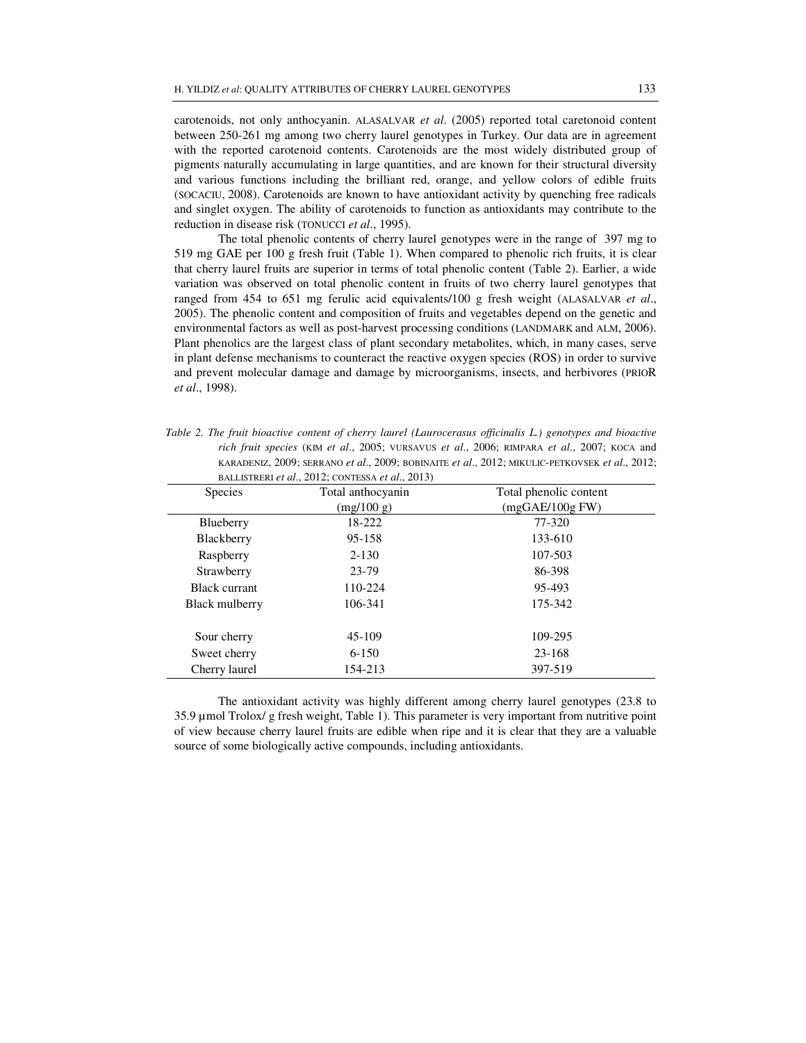carotenoids, not only anthocyanin. ALASALVAR *et al*. (2005) reported total caretonoid content between 250-261 mg among two cherry laurel genotypes in Turkey. Our data are in agreement with the reported carotenoid contents. Carotenoids are the most widely distributed group of pigments naturally accumulating in large quantities, and are known for their structural diversity and various functions including the brilliant red, orange, and yellow colors of edible fruits (SOCACIU, 2008). Carotenoids are known to have antioxidant activity by quenching free radicals and singlet oxygen. The ability of carotenoids to function as antioxidants may contribute to the reduction in disease risk (TONUCCI *et al*., 1995).

The total phenolic contents of cherry laurel genotypes were in the range of 397 mg to 519 mg GAE per 100 g fresh fruit (Table 1). When compared to phenolic rich fruits, it is clear that cherry laurel fruits are superior in terms of total phenolic content (Table 2). Earlier, a wide variation was observed on total phenolic content in fruits of two cherry laurel genotypes that ranged from 454 to 651 mg ferulic acid equivalents/100 g fresh weight (ALASALVAR *et al*., 2005). The phenolic content and composition of fruits and vegetables depend on the genetic and environmental factors as well as post-harvest processing conditions (LANDMARK and ALM, 2006). Plant phenolics are the largest class of plant secondary metabolites, which, in many cases, serve in plant defense mechanisms to counteract the reactive oxygen species (ROS) in order to survive and prevent molecular damage and damage by microorganisms, insects, and herbivores (PRIOR *et al*., 1998).

*Table 2. The fruit bioactive content of cherry laurel (Laurocerasus officinalis L.) genotypes and bioactive rich fruit species* (KIM *et al*., 2005; VURSAVUS *et al*., 2006; RIMPARA *et al*., 2007; KOCA and KARADENIZ, 2009; SERRANO *et al*., 2009; BOBINAITE *et al*., 2012; MIKULIC-PETKOVSEK *et al*., 2012; BALLISTRERI *et al*., 2012; CONTESSA *et al*., 2013)

| Species        | Total anthocyanin | Total phenolic content |  |
|----------------|-------------------|------------------------|--|
|                | (mg/100 g)        | (mgGAE/100gFW)         |  |
| Blueberry      | 18-222            | 77-320                 |  |
| Blackberry     | 95-158            | 133-610                |  |
| Raspberry      | $2 - 130$         | 107-503                |  |
| Strawberry     | 23-79             | 86-398                 |  |
| Black currant  | 110-224           | 95-493                 |  |
| Black mulberry | 106-341           | 175-342                |  |
|                |                   |                        |  |
| Sour cherry    | 45-109            | 109-295                |  |
| Sweet cherry   | $6 - 150$         | 23-168                 |  |
| Cherry laurel  | 154-213           | 397-519                |  |

The antioxidant activity was highly different among cherry laurel genotypes (23.8 to 35.9 µmol Trolox/ g fresh weight, Table 1). This parameter is very important from nutritive point of view because cherry laurel fruits are edible when ripe and it is clear that they are a valuable source of some biologically active compounds, including antioxidants.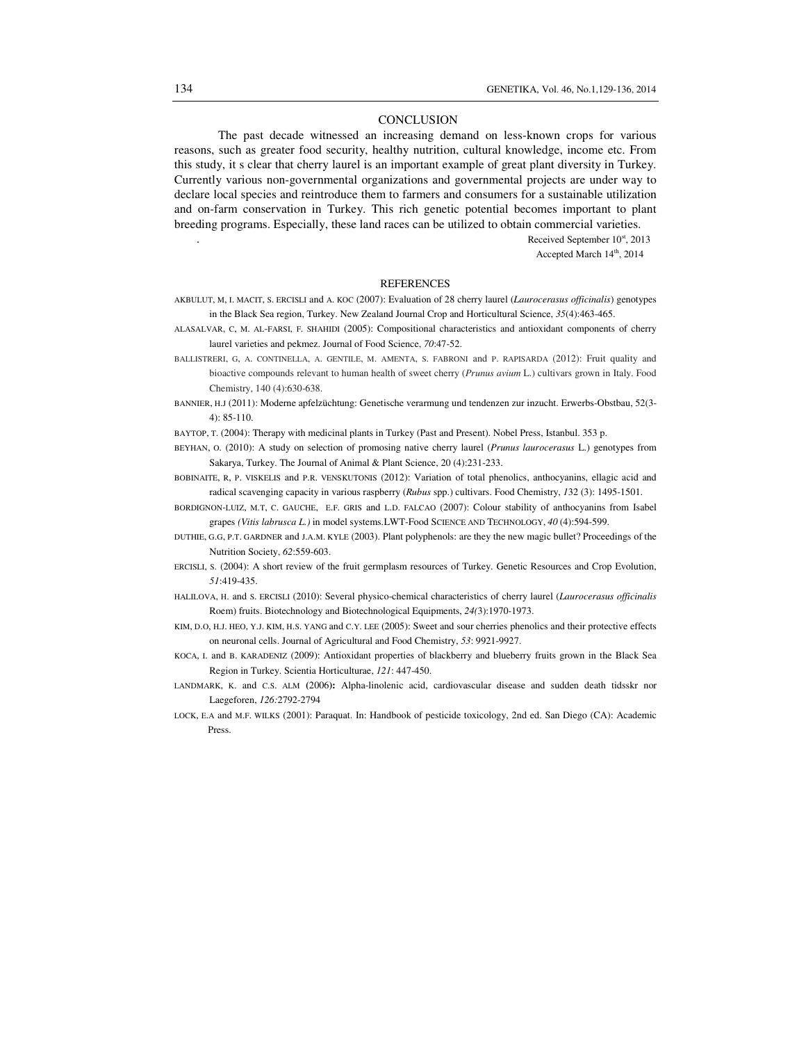#### **CONCLUSION**

The past decade witnessed an increasing demand on less-known crops for various reasons, such as greater food security, healthy nutrition, cultural knowledge, income etc. From this study, it s clear that cherry laurel is an important example of great plant diversity in Turkey. Currently various non-governmental organizations and governmental projects are under way to declare local species and reintroduce them to farmers and consumers for a sustainable utilization and on-farm conservation in Turkey. This rich genetic potential becomes important to plant breeding programs. Especially, these land races can be utilized to obtain commercial varieties.

Received September 10st, 2013

Accepted March 14<sup>th</sup>, 2014

## REFERENCES

- AKBULUT, M, I. MACIT, S. ERCISLI and A. KOC (2007): Evaluation of 28 cherry laurel (*Laurocerasus officinalis*) genotypes in the Black Sea region, Turkey. New Zealand Journal Crop and Horticultural Science, *35*(4):463-465.
- ALASALVAR, C, M. AL-FARSI, F. SHAHIDI (2005): Compositional characteristics and antioxidant components of cherry laurel varieties and pekmez. Journal of Food Science, *70*:47-52.
- BALLISTRERI, G, A. CONTINELLA, A. GENTILE, M. AMENTA, S. FABRONI and P. RAPISARDA (2012): Fruit quality and bioactive compounds relevant to human health of sweet cherry (*Prunus avium* L.) cultivars grown in Italy. Food Chemistry, 140 (4):630-638.
- BANNIER, H.J (2011): Moderne apfelzüchtung: Genetische verarmung und tendenzen zur inzucht. Erwerbs-Obstbau, 52(3- 4): 85-110.
- BAYTOP, T. (2004): Therapy with medicinal plants in Turkey (Past and Present). Nobel Press, Istanbul. 353 p.
- BEYHAN, O. (2010): A study on selection of promosing native cherry laurel (*Prunus laurocerasus* L.) genotypes from Sakarya, Turkey. The Journal of Animal & Plant Science, 20 (4):231-233.
- BOBINAITE, R, P. VISKELIS and P.R. VENSKUTONIS (2012): Variation of total phenolics, anthocyanins, ellagic acid and radical scavenging capacity in various raspberry (*Rubus* spp.) cultivars. Food Chemistry, *1*32 (3): 1495-1501.
- BORDIGNON-LUIZ, M.T, C. GAUCHE, E.F. GRIS and L.D. FALCAO (2007): Colour stability of anthocyanins from Isabel grapes *(Vitis labrusca L.)* in model systems*.*LWT-Food SCIENCE AND TECHNOLOGY, *40* (4):594-599.
- DUTHIE, G.G, P.T. GARDNER and J.A.M. KYLE (2003). Plant polyphenols: are they the new magic bullet? Proceedings of the Nutrition Society, *62*:559-603.
- ERCISLI, S. (2004): A short review of the fruit germplasm resources of Turkey. Genetic Resources and Crop Evolution, *51*:419-435.
- HALILOVA, H. and S. ERCISLI (2010): Several physico-chemical characteristics of cherry laurel (*Laurocerasus officinalis*  Roem) fruits. Biotechnology and Biotechnological Equipments, *24(*3):1970-1973.
- KIM, D.O, H.J. HEO, Y.J. KIM, H.S. YANG and C.Y. LEE (2005): Sweet and sour cherries phenolics and their protective effects on neuronal cells. Journal of Agricultural and Food Chemistry, *53*: 9921-9927.
- KOCA, I. and B. KARADENIZ (2009): Antioxidant properties of blackberry and blueberry fruits grown in the Black Sea Region in Turkey. Scientia Horticulturae, *121*: 447-450.
- LANDMARK, K. and C.S. ALM **(**2006**):** Alpha-linolenic acid, cardiovascular disease and sudden death tidsskr nor Laegeforen, *126:*2792-2794
- LOCK, E.A and M.F. WILKS (2001): Paraquat. In: Handbook of pesticide toxicology, 2nd ed. San Diego (CA): Academic Press.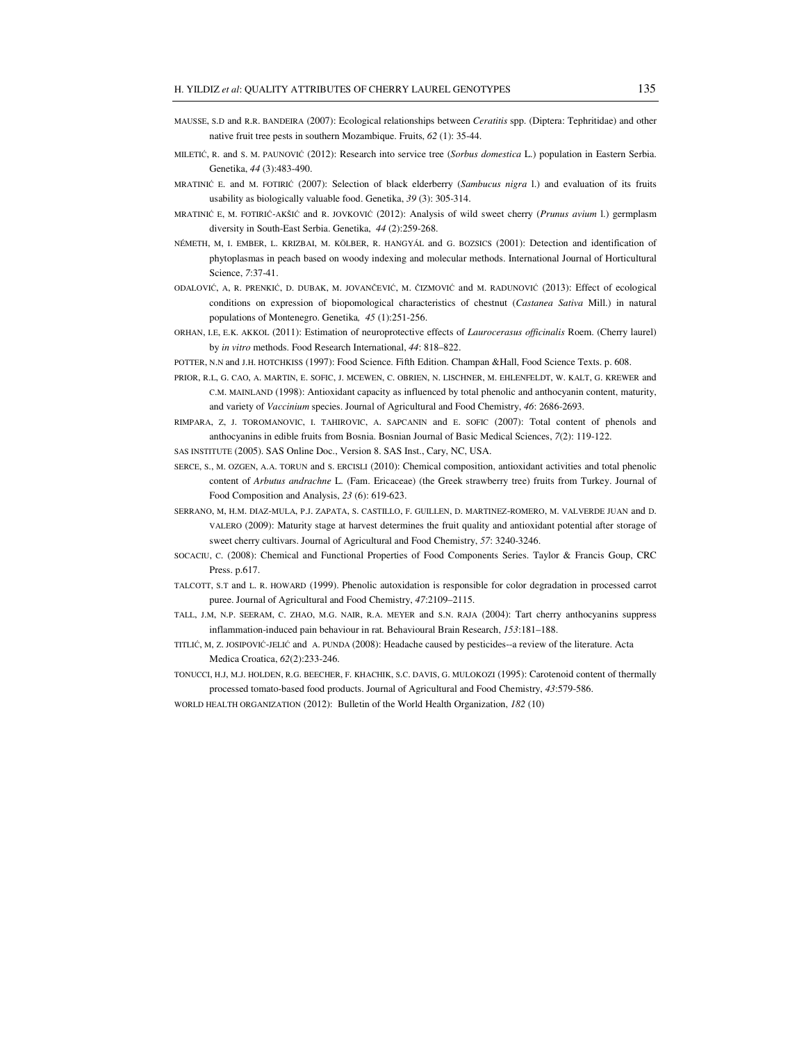- MAUSSE, S.D and R.R. BANDEIRA (2007): Ecological relationships between *Ceratitis* spp. (Diptera: Tephritidae) and other native fruit tree pests in southern Mozambique. Fruits, *62* (1): 35-44.
- MILETIĆ, R. and S. M. PAUNOVIĆ (2012): Research into service tree (*Sorbus domestica* L.) population in Eastern Serbia. Genetika, *44* (3):483-490.
- MRATINIĆ E. and M. FOTIRIĆ (2007): Selection of black elderberry (*Sambucus nigra* l.) and evaluation of its fruits usability as biologically valuable food. Genetika, *39* (3): 305-314.
- MRATINIĆ E, M. FOTIRIĆ-AKŠIĆ and R. JOVKOVIĆ (2012): Analysis of wild sweet cherry (*Prunus avium* l.) germplasm diversity in South-East Serbia. Genetika, *44* (2):259-268.
- NÉMETH, M, I. EMBER, L. KRIZBAI, M. KÖLBER, R. HANGYÁL and G. BOZSICS (2001): Detection and identification of phytoplasmas in peach based on woody indexing and molecular methods. International Journal of Horticultural Science, *7*:37-41.
- ODALOVIĆ, A, R. PRENKIĆ, D. DUBAK, M. JOVANČEVIĆ, M. ČIZMOVIĆ and M. RADUNOVIĆ (2013): Effect of ecological conditions on expression of biopomological characteristics of chestnut (*Castanea Sativa* Mill.) in natural populations of Montenegro. Genetika*, 45* (1):251-256.
- ORHAN, I.E, E.K. AKKOL (2011): Estimation of neuroprotective effects of *Laurocerasus officinalis* Roem. (Cherry laurel) by *in vitro* methods. Food Research International, *44*: 818–822.

POTTER, N.N and J.H. HOTCHKISS (1997): Food Science. Fifth Edition. Champan &Hall, Food Science Texts. p. 608.

- PRIOR, R.L, G. CAO, A. MARTIN, E. SOFIC, J. MCEWEN, C. OBRIEN, N. LISCHNER, M. EHLENFELDT, W. KALT, G. KREWER and C.M. MAINLAND (1998): Antioxidant capacity as influenced by total phenolic and anthocyanin content, maturity, and variety of *Vaccinium* species. Journal of Agricultural and Food Chemistry, *46*: 2686-2693.
- RIMPARA, Z, J. TOROMANOVIC, I. TAHIROVIC, A. SAPCANIN and E. SOFIC (2007): Total content of phenols and anthocyanins in edible fruits from Bosnia. Bosnian Journal of Basic Medical Sciences, *7*(2): 119-122.

SAS INSTITUTE (2005). SAS Online Doc., Version 8. SAS Inst., Cary, NC, USA.

- SERCE, S., M. OZGEN, A.A. TORUN and S. ERCISLI (2010): Chemical composition, antioxidant activities and total phenolic content of *Arbutus andrachne* L. (Fam. Ericaceae) (the Greek strawberry tree) fruits from Turkey. Journal of Food Composition and Analysis, *23* (6): 619-623.
- SERRANO, M, H.M. DIAZ-MULA, P.J. ZAPATA, S. CASTILLO, F. GUILLEN, D. MARTINEZ-ROMERO, M. VALVERDE JUAN and D. VALERO (2009): Maturity stage at harvest determines the fruit quality and antioxidant potential after storage of sweet cherry cultivars. Journal of Agricultural and Food Chemistry, *57*: 3240-3246.
- SOCACIU, C. (2008): Chemical and Functional Properties of Food Components Series. Taylor & Francis Goup, CRC Press. p.617.
- TALCOTT, S.T and L. R. HOWARD (1999). Phenolic autoxidation is responsible for color degradation in processed carrot puree. Journal of Agricultural and Food Chemistry, *47*:2109–2115.
- TALL, J.M, N.P. SEERAM, C. ZHAO, M.G. NAIR, R.A. MEYER and S.N. RAJA (2004): Tart cherry anthocyanins suppress inflammation-induced pain behaviour in rat*.* Behavioural Brain Research, *153*:181–188.
- TITLIĆ, M, Z. JOSIPOVIĆ-JELIĆ and A. PUNDA (2008): Headache caused by pesticides--a review of the literature. Acta Medica Croatica, *62*(2):233-246.
- TONUCCI, H.J, M.J. HOLDEN, R.G. BEECHER, F. KHACHIK, S.C. DAVIS, G. MULOKOZI (1995): Carotenoid content of thermally processed tomato-based food products. Journal of Agricultural and Food Chemistry, *43*:579-586.
- WORLD HEALTH ORGANIZATION (2012): Bulletin of the World Health Organization, *182* (10)